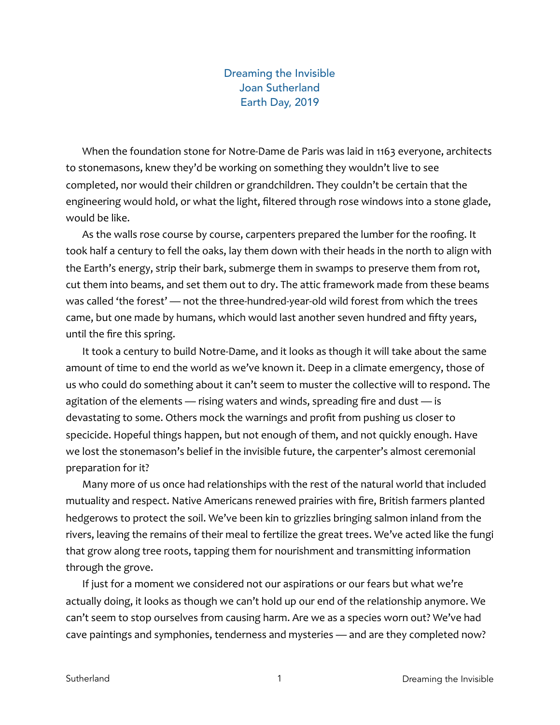## Dreaming the Invisible Joan Sutherland Earth Day, 2019

When the foundation stone for Notre-Dame de Paris was laid in 1163 everyone, architects to stonemasons, knew they'd be working on something they wouldn't live to see completed, nor would their children or grandchildren. They couldn't be certain that the engineering would hold, or what the light, filtered through rose windows into a stone glade, would be like.

As the walls rose course by course, carpenters prepared the lumber for the roofing. It took half a century to fell the oaks, lay them down with their heads in the north to align with the Earth's energy, strip their bark, submerge them in swamps to preserve them from rot, cut them into beams, and set them out to dry. The attic framework made from these beams was called 'the forest' — not the three-hundred-year-old wild forest from which the trees came, but one made by humans, which would last another seven hundred and fifty years, until the fire this spring.

It took a century to build Notre-Dame, and it looks as though it will take about the same amount of time to end the world as we've known it. Deep in a climate emergency, those of us who could do something about it can't seem to muster the collective will to respond. The agitation of the elements — rising waters and winds, spreading fire and dust — is devastating to some. Others mock the warnings and profit from pushing us closer to specicide. Hopeful things happen, but not enough of them, and not quickly enough. Have we lost the stonemason's belief in the invisible future, the carpenter's almost ceremonial preparation for it?

Many more of us once had relationships with the rest of the natural world that included mutuality and respect. Native Americans renewed prairies with fire, British farmers planted hedgerows to protect the soil. We've been kin to grizzlies bringing salmon inland from the rivers, leaving the remains of their meal to fertilize the great trees. We've acted like the fungi that grow along tree roots, tapping them for nourishment and transmitting information through the grove.

If just for a moment we considered not our aspirations or our fears but what we're actually doing, it looks as though we can't hold up our end of the relationship anymore. We can't seem to stop ourselves from causing harm. Are we as a species worn out? We've had cave paintings and symphonies, tenderness and mysteries — and are they completed now?